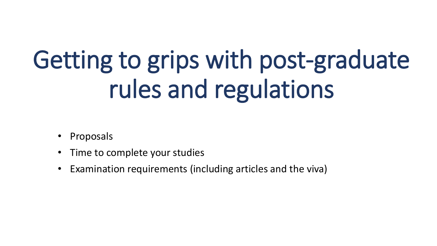#### Getting to grips with post-graduate rules and regulations

- **Proposals**
- Time to complete your studies
- Examination requirements (including articles and the viva)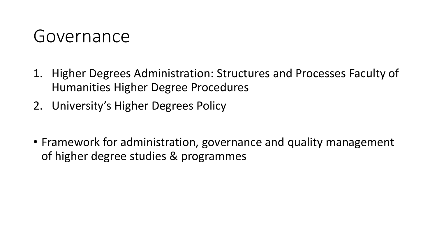#### Governance

- 1. Higher Degrees Administration: Structures and Processes Faculty of Humanities Higher Degree Procedures
- 2. University's Higher Degrees Policy
- Framework for administration, governance and quality management of higher degree studies & programmes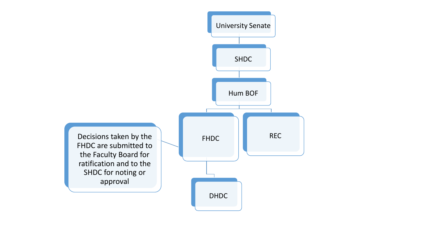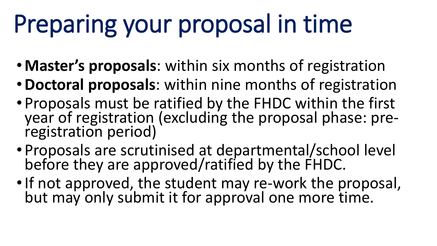# Preparing your proposal in time

- •**Master's proposals**: within six months of registration
- •**Doctoral proposals**: within nine months of registration
- Proposals must be ratified by the FHDC within the first year of registration (excluding the proposal phase: preregistration period)
- Proposals are scrutinised at departmental/school level before they are approved/ratified by the FHDC.
- If not approved, the student may re-work the proposal, but may only submit it for approval one more time.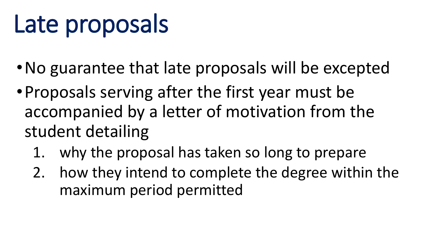#### Late proposals

- •No guarantee that late proposals will be excepted
- •Proposals serving after the first year must be accompanied by a letter of motivation from the student detailing
	- 1. why the proposal has taken so long to prepare
	- 2. how they intend to complete the degree within the maximum period permitted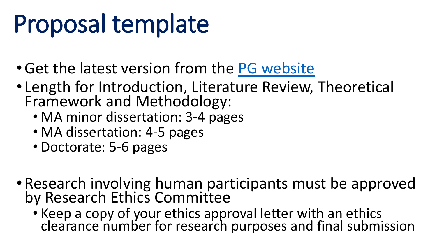#### Proposal template

- •Get the latest version from the [PG website](http://www.uj.ac.za/EN/Faculties/humanities/Pages/Post-Graduate-Information-for-Students-and-Staff.aspx)
- Length for Introduction, Literature Review, Theoretical Framework and Methodology:
	- MA minor dissertation: 3-4 pages
	- MA dissertation: 4-5 pages
	- Doctorate: 5-6 pages
- Research involving human participants must be approved by Research Ethics Committee
	- Keep a copy of your ethics approval letter with an ethics clearance number for research purposes and final submission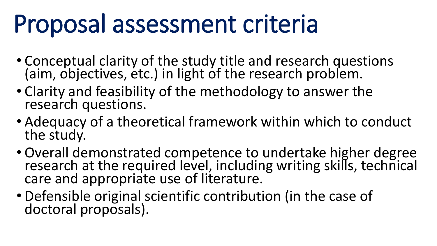#### Proposal assessment criteria

- Conceptual clarity of the study title and research questions (aim, objectives, etc.) in light of the research problem.
- Clarity and feasibility of the methodology to answer the research questions.
- Adequacy of a theoretical framework within which to conduct the study.
- Overall demonstrated competence to undertake higher degree research at the required level, including writing skills, technical care and appropriate use of literature.
- Defensible original scientific contribution (in the case of doctoral proposals).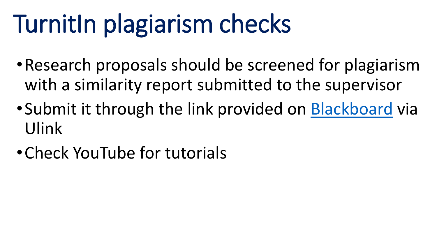#### TurnitIn plagiarism checks

- •Research proposals should be screened for plagiarism with a similarity report submitted to the supervisor
- •Submit it through the link provided on [Blackboard](https://ulink.uj.ac.za/index.php) via Ulink
- •Check YouTube for tutorials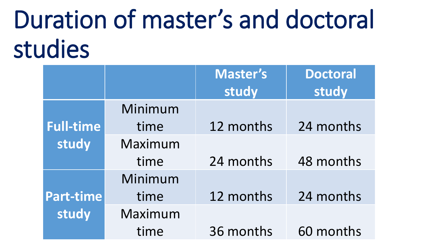#### Duration of master's and doctoral studies

|                  |         | <b>Master's</b> | <b>Doctoral</b> |
|------------------|---------|-----------------|-----------------|
|                  |         | study           | study           |
|                  | Minimum |                 |                 |
| <b>Full-time</b> | time    | 12 months       | 24 months       |
| study            | Maximum |                 |                 |
|                  | time    | 24 months       | 48 months       |
|                  | Minimum |                 |                 |
| Part-time        | time    | 12 months       | 24 months       |
| study            | Maximum |                 |                 |
|                  | time    | 36 months       | 60 months       |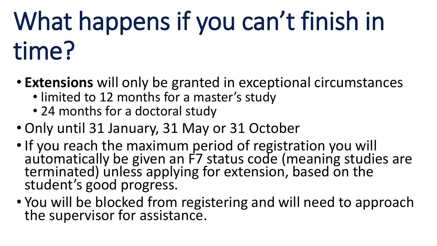# What happens if you can't finish in time?

- **Extensions** will only be granted in exceptional circumstances
	- limited to 12 months for a master's study
	- 24 months for a doctoral study
- Only until 31 January, 31 May or 31 October
- If you reach the maximum period of registration you will automatically be given an F7 status code (meaning studies are terminated) unless applying for extension, based on the student's good progress.
- You will be blocked from registering and will need to approach the supervisor for assistance.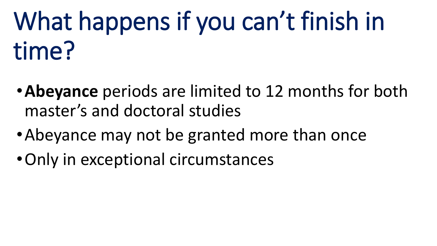### What happens if you can't finish in time?

- •**Abeyance** periods are limited to 12 months for both master's and doctoral studies
- •Abeyance may not be granted more than once
- •Only in exceptional circumstances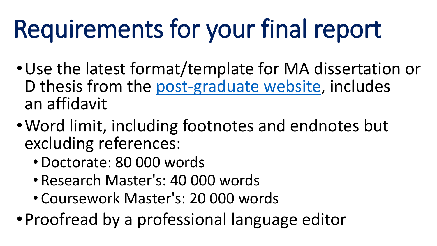#### Requirements for your final report

- •Use the latest format/template for MA dissertation or D thesis from the [post-graduate website,](http://www.uj.ac.za/EN/Faculties/humanities/Pages/Post-Graduate-Information-for-Students-and-Staff.aspx) includes an affidavit
- •Word limit, including footnotes and endnotes but excluding references:
	- •Doctorate: 80 000 words
	- Research Master's: 40 000 words
	- Coursework Master's: 20 000 words
- •Proofread by a professional language editor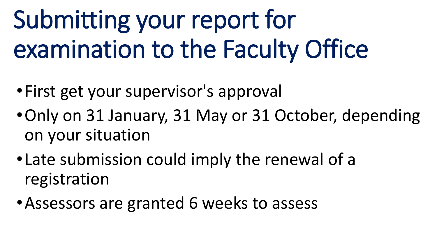# Submitting your report for examination to the Faculty Office

- •First get your supervisor's approval
- •Only on 31 January, 31 May or 31 October, depending on your situation
- •Late submission could imply the renewal of a registration
- •Assessors are granted 6 weeks to assess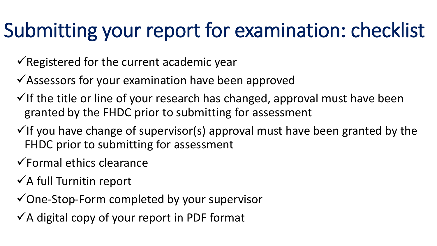#### Submitting your report for examination: checklist

- $\sqrt{\sqrt{2}}$  Registered for the current academic year
- $\checkmark$  Assessors for your examination have been approved
- $\checkmark$  If the title or line of your research has changed, approval must have been granted by the FHDC prior to submitting for assessment
- $\checkmark$  If you have change of supervisor(s) approval must have been granted by the FHDC prior to submitting for assessment
- $\checkmark$  Formal ethics clearance
- $\checkmark$  A full Turnitin report
- One-Stop-Form completed by your supervisor
- $\checkmark$  A digital copy of your report in PDF format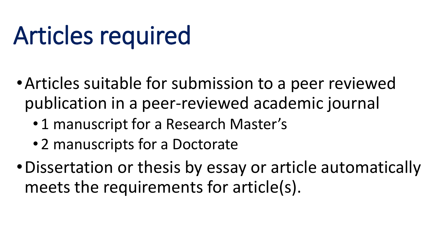#### Articles required

- •Articles suitable for submission to a peer reviewed publication in a peer-reviewed academic journal
	- 1 manuscript for a Research Master's
	- 2 manuscripts for a Doctorate
- •Dissertation or thesis by essay or article automatically meets the requirements for article(s).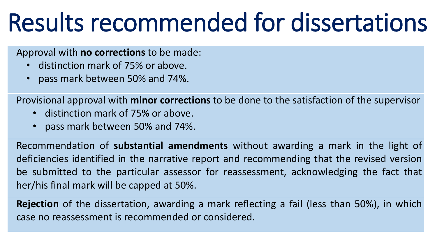#### Results recommended for dissertations

#### Approval with **no corrections** to be made:

- distinction mark of 75% or above.
- pass mark between 50% and 74%.

Provisional approval with **minor corrections** to be done to the satisfaction of the supervisor

- distinction mark of 75% or above.
- pass mark between 50% and 74%.

Recommendation of **substantial amendments** without awarding a mark in the light of deficiencies identified in the narrative report and recommending that the revised version be submitted to the particular assessor for reassessment, acknowledging the fact that her/his final mark will be capped at 50%.

**Rejection** of the dissertation, awarding a mark reflecting a fail (less than 50%), in which case no reassessment is recommended or considered.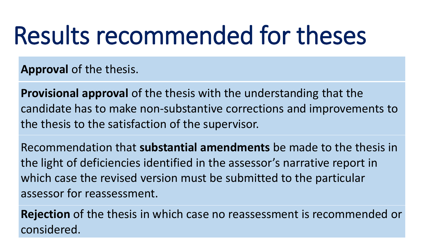#### Results recommended for theses

**Approval** of the thesis.

**Provisional approval** of the thesis with the understanding that the candidate has to make non-substantive corrections and improvements to the thesis to the satisfaction of the supervisor.

Recommendation that **substantial amendments** be made to the thesis in the light of deficiencies identified in the assessor's narrative report in which case the revised version must be submitted to the particular assessor for reassessment.

**Rejection** of the thesis in which case no reassessment is recommended or considered.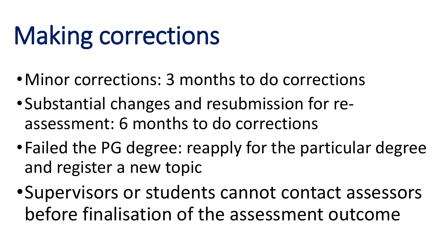#### Making corrections

- •Minor corrections: 3 months to do corrections
- •Substantial changes and resubmission for reassessment: 6 months to do corrections
- •Failed the PG degree: reapply for the particular degree and register a new topic
- •Supervisors or students cannot contact assessors before finalisation of the assessment outcome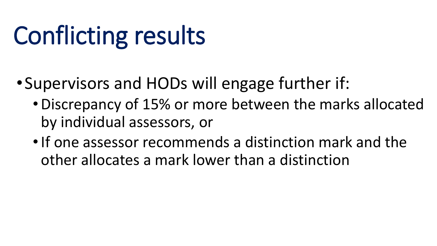#### Conflicting results

- •Supervisors and HODs will engage further if:
	- •Discrepancy of 15% or more between the marks allocated by individual assessors, or
	- •If one assessor recommends a distinction mark and the other allocates a mark lower than a distinction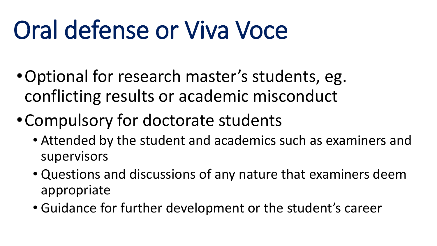#### Oral defense or Viva Voce

- •Optional for research master's students, eg. conflicting results or academic misconduct
- •Compulsory for doctorate students
	- Attended by the student and academics such as examiners and supervisors
	- Questions and discussions of any nature that examiners deem appropriate
	- Guidance for further development or the student's career